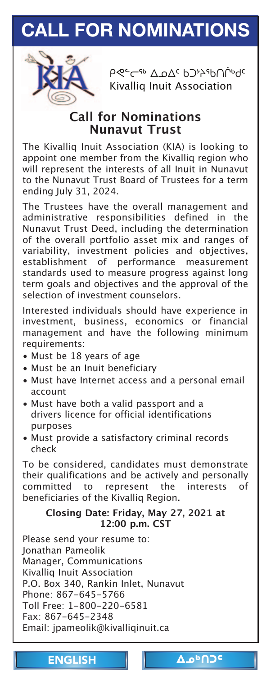# <span id="page-0-0"></span>**CALL FOR [NOMINATIONS](mailto:jpameolik@kivalliqinuit.ca)**



<u>ρ≪∼← ΔρΔς ρϽ</u>≯λερ∪ίρες Kivalliq Inuit Association

### **Call for Nominations Nunavut Trust**

The Kivalliq Inuit Association (KIA) is looking to appoint one member from the Kivalliq region who will represent the interests of all Inuit in Nunavut to the Nunavut Trust Board of Trustees for a term ending July 31, 2024.

The Trustees have the overall management and administrative responsibilities defined in the Nunavut Trust Deed, including the determination of the overall portfolio asset mix and ranges of variability, investment policies and objectives, establishment of performance measurement standards used to measure progress against long term goals and objectives and the approval of the selection of investment counselors.

Interested individuals should have experience in investment, business, economics or financial management and have the following minimum requirements:

- Must be 18 years of age
- Must be an Inuit beneficiary
- Must have Internet access and a personal email account
- Must have both a valid passport and a drivers licence for official identifications purposes
- Must provide a satisfactory criminal records check

To be considered, candidates must demonstrate their qualifications and be actively and personally committed to represent the interests of beneficiaries of the Kivalliq Region.

### **Closing Date: Friday, May 27, 2021 at 12:00 p.[m. CST](#page-1-0)**

Please send your resume to: Jonathan Pameolik Manager, Communications Kivalliq Inuit Association P.O. Box 340, Rankin Inlet, Nunavut Phone: 867-645-5766 Toll Free: 1-800-220-6581 Fax: 867-645-2348 Email: jpameolik@kivalliqinuit.ca

ENGLISH | Δο<sup>6</sup>ΠΟ<sup>ς</sup>